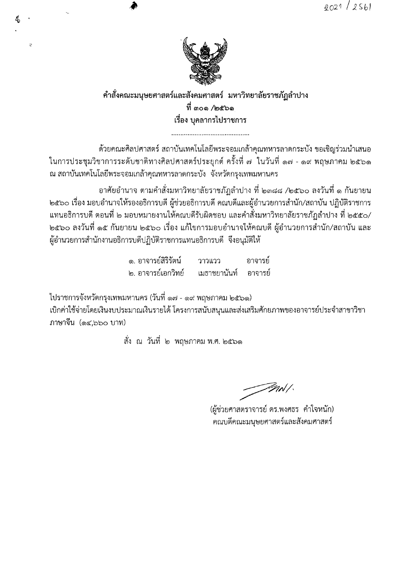

คำสั่งคณะมนุษยศาสตร์และสังคมศาสตร์ มหาวิทยาลัยราชภัฏลำปาง ที่ ๓๐๑ /๒๕๖๑ เรื่อง บุคลากรไปราชการ

้ด้วยคณะศิลปศาสตร์ สถาบันเทคโนโลยีพระจอมเกล้าคุณทหารลาดกระบัง ขอเชิญร่วมนำเสนอ ในการประชุมวิชาการระดับชาติทางศิลปศาสตร์ประยุกต์ ครั้งที่ ๗ ในวันที่ ๑๗ - ๑๙ พฤษภาคม ๒๕๖๑ ณ สถาบันเทคโนโลยีพระจอมเกล้าคุณทหารลาดกระบัง จังหวัดกรุงเทพมหานคร

้อาศัยอำนาจ ตามคำสั่งมหาวิทยาลัยราชภัฏลำปาง ที่ ๒๓๘๘ /๒๕๖๐ ลงวันที่ ๑ กันยายน ่ ๒๕๖๐ เรื่อง มอบอำนาจให้รองอธิการบดี ผู้ช่วยอธิการบดี คณบดีและผู้อำนวยการสำนัก/สถาบัน ปฏิบัติราชการ แทนอธิการบดี ตอนที่ ๒ มอบหมายงานให้คณบดีรับผิดชอบ และคำสั่งมหาวิทยาลัยราชภัฏลำปาง ที่ ๒๕๕๐/ ้๒๕๖๐ ลงวันที่ ๑๕ กันยายน ๒๕๖๐ เรื่อง แก้ไขการมอบอำนาจให้คณบดี ผู้อำนวยการสำนัก/สถาบัน และ ผู้อำนวยการสำนักงานอธิการบดีปฏิบัติราชการแทนอธิการบดี จึงอนุมัติให้

> ๑. อาจารย์สิริรัตน์ วาวแวว อาจารย์ ๒. อาจารย์เอกวิทย์ เมธาชยานันท์ ้อาจารย์

ไปราชการจังหวัดกรุงเทพมหานคร (วันที่ ๑๗ - ๑๙ พฤษภาคม ๒๕๖๑)

4

t.

้เบิกค่าใช้จ่ายโดยเงินงบประมาณเงินรายได้ โครงการสนับสนุนและส่งเสริมศักยภาพของอาจารย์ประจำสาขาวิชา ภาษาจีน (๑๔.๖๖๐ บาท)

สั่ง ณ วันที่ ๒ พฤษภาคม พ.ศ. ๒๕๖๑

*Finll* 

(ผู้ช่วยศาสตราจารย์ ดร.พงศธร คำใจหนัก) คณบดีคณะมนุษยศาสตร์และสังคมศาสตร์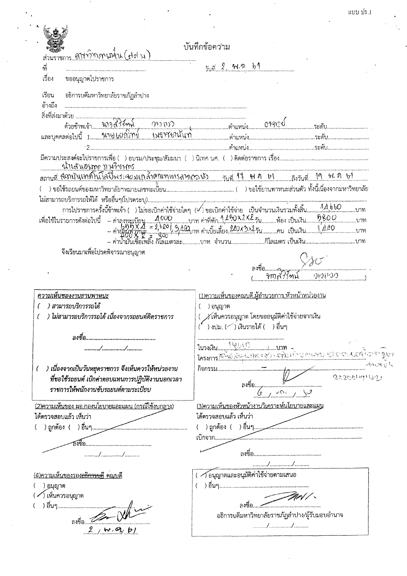|   | แบบ ปร.1 |
|---|----------|
| ٠ |          |
|   |          |
|   |          |

|                                                                             | แบบ ปร.1                                                                                                                                                                                                                                                                                                                                      |
|-----------------------------------------------------------------------------|-----------------------------------------------------------------------------------------------------------------------------------------------------------------------------------------------------------------------------------------------------------------------------------------------------------------------------------------------|
|                                                                             |                                                                                                                                                                                                                                                                                                                                               |
|                                                                             |                                                                                                                                                                                                                                                                                                                                               |
| ส่วนราชการ ฟินท์วิชาภาษา4า1 (ฟุต พ                                          | บันทึกข้อความ                                                                                                                                                                                                                                                                                                                                 |
| ที่                                                                         | วันที่ 2 ได้เกิ 101                                                                                                                                                                                                                                                                                                                           |
| เรื่อง<br>ขออนุญาตไปราชการ                                                  |                                                                                                                                                                                                                                                                                                                                               |
|                                                                             |                                                                                                                                                                                                                                                                                                                                               |
| อธิการบดีมหาวิทยาลัยราชภัฏลำปาง<br>เรียน                                    |                                                                                                                                                                                                                                                                                                                                               |
| อ้างถึง                                                                     |                                                                                                                                                                                                                                                                                                                                               |
|                                                                             |                                                                                                                                                                                                                                                                                                                                               |
|                                                                             |                                                                                                                                                                                                                                                                                                                                               |
|                                                                             |                                                                                                                                                                                                                                                                                                                                               |
|                                                                             |                                                                                                                                                                                                                                                                                                                                               |
|                                                                             |                                                                                                                                                                                                                                                                                                                                               |
|                                                                             |                                                                                                                                                                                                                                                                                                                                               |
|                                                                             |                                                                                                                                                                                                                                                                                                                                               |
|                                                                             |                                                                                                                                                                                                                                                                                                                                               |
|                                                                             |                                                                                                                                                                                                                                                                                                                                               |
|                                                                             |                                                                                                                                                                                                                                                                                                                                               |
|                                                                             |                                                                                                                                                                                                                                                                                                                                               |
| จึงเรียนมาเพื่อโปรดพิจารณาอนุญาต                                            |                                                                                                                                                                                                                                                                                                                                               |
|                                                                             |                                                                                                                                                                                                                                                                                                                                               |
|                                                                             | Q(Q)                                                                                                                                                                                                                                                                                                                                          |
|                                                                             |                                                                                                                                                                                                                                                                                                                                               |
| <u>ความเห็นของงานยานพาหนะ</u>                                               | <u>(1)ความเห็นของคณบดี ผู้อำนวยการ หัวหน้าหน่วยงาน</u>                                                                                                                                                                                                                                                                                        |
| ) สามารถบริการรถได้                                                         | ) อนุญาต                                                                                                                                                                                                                                                                                                                                      |
| ) ไม่สามารถบริการรถได้ เนื่องจากรถยนต์ติดราชการ                             | ( $\,\,\gamma$ เห็นควรอนุญาต โดยขออนุมัติค่าใช้จ่ายจากเงิน                                                                                                                                                                                                                                                                                    |
|                                                                             | ( ) งปม. ( ) เงินรายได้ ( ) อื่นๆ                                                                                                                                                                                                                                                                                                             |
|                                                                             |                                                                                                                                                                                                                                                                                                                                               |
|                                                                             |                                                                                                                                                                                                                                                                                                                                               |
| //                                                                          |                                                                                                                                                                                                                                                                                                                                               |
|                                                                             |                                                                                                                                                                                                                                                                                                                                               |
| ) เนื่องจากเป็นวันหยุดราชการ จึงเห็นควรให้หน่วยงาน                          | 20200191671                                                                                                                                                                                                                                                                                                                                   |
| ที่ขอใช้รถยนต์ เบิกค่าตอบแทนการปฏิบัติงานนอกเวลา                            |                                                                                                                                                                                                                                                                                                                                               |
| ราชการให้พนักงานขับรถยนต์ตามระเบียบ                                         |                                                                                                                                                                                                                                                                                                                                               |
|                                                                             | <u>(3)ความเห็นของหัวหน้างานวิเคราะห์นโยบายและแผน</u>                                                                                                                                                                                                                                                                                          |
|                                                                             | ได้ตรวจสอบแล้ว เห็นว่า                                                                                                                                                                                                                                                                                                                        |
| (2)ความเห็นของ ผอ.กองนโยบายและแผน (กรณีใช้งบกลาง)<br>ได้ตรวจสอบแล้ว เห็นว่า |                                                                                                                                                                                                                                                                                                                                               |
|                                                                             |                                                                                                                                                                                                                                                                                                                                               |
| //                                                                          |                                                                                                                                                                                                                                                                                                                                               |
|                                                                             | //                                                                                                                                                                                                                                                                                                                                            |
|                                                                             | →โอนุญาตและอนุมัติค่าใช้จ่ายตามเสนอ                                                                                                                                                                                                                                                                                                           |
| ) อนุญาต                                                                    |                                                                                                                                                                                                                                                                                                                                               |
| ∕ ) เห็นควรอนุญาต                                                           |                                                                                                                                                                                                                                                                                                                                               |
| <u>(4)ความเห็นของรอง<del>อธิการบ</del>คี</u> คณบดี<br>) อื่นๆ               | lusant 1966 Communication of the Communication of the Communication of the Communication of the Communication of the Communication of the Communication of the Communication of the Communication of the Communication of the<br>$\overline{\phantom{a}}$ av $\overline{\phantom{a}}$ av $\overline{\phantom{a}}$ av $\overline{\phantom{a}}$ |
| ลงชื่อ <u>22</u><br>$2 \, m \, \mathcal{A}$ bl                              | อธิการบดีมหาวิทยาลัยราชภัฏลำปาง/ผู้รับมอบอำนาจ                                                                                                                                                                                                                                                                                                |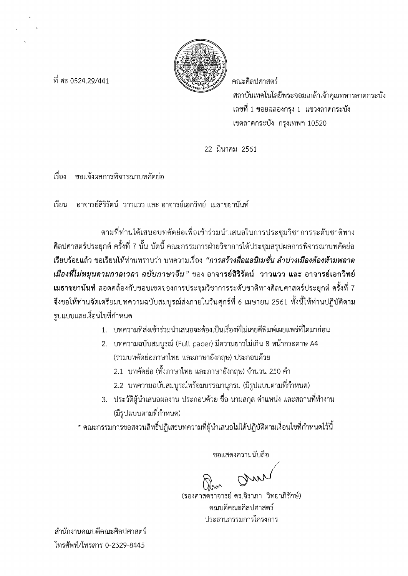

ที่ ศุธ 0524 29/441

คณะศิลปศาสตร์ สถาบันเทคโนโลยีพระจอมเกล้าเจ้าคุณทหารลาดกระบัง เลขที่ 1 ซอยฉลองกรุง 1 แขวงลาดกระบัง เขตลาดกระบัง กรุงเทพฯ 10520

22 มีนาคม 2561

เรื่อง ขอแจ้งผลการพิจารณาบทคัดย่อ

้อาจารย์สิริรัตน์ วาวแวว และ อาจารย์เอกวิทย์ เมธาชยานันท์ เรียน

ตามที่ท่านได้เสนอบทคัดย่อเพื่อเข้าร่วมนำเสนอในการประชุมวิชาการระดับชาติทาง ่ ศิลปศาสตร์ประยุกต์ ครั้งที่ 7 นั้น บัดนี้ คณะกรรมการฝ่ายวิชาการได้ประชุมสรุปผลการพิจารณาบทคัดย่อ ้เรียบร้อยแล้ว ขอเรียนให้ท่านทราบว่า บทความเรื่อง *"การสร้างสื่อแอนิเมชั่น ลำปางเมืองต้องห้ามพลาด* ้ เมืองที่ไม่หมุนตามกาลเวลา ฉบับภาษาจีน" ของ อาจารย์สิริรัตน์ วาวแวว และ อาจารย์เอกวิทย์ ี **เมธาชยานันท์** สอดคล้องกับขอบเขตของการประชุมวิชาการระดับชาติทางศิลปศาสตร์ประยุกต์ ครั้งที่ 7 ้จึงขอให้ท่านจัดเตรียมบทความฉบับสมบูรณ์ส่งภายในวันศุกร์ที่ 6 เมษายน 2561 ทั้งนี้ให้ท่านปฏิบัติตาม รูปแบบและเงื่อนไขที่กำหนด

- 1. บทความที่ส่งเข้าร่วมนำเสนอจะต้องเป็นเรื่องที่ไม่เคยตีพิมพ์เผยแพร่ที่ใดมาก่อน
- 2. บทความฉบับสมบูรณ์ (Full paper) มีความยาวไม่เกิน 8 หน้ากระดาษ A4 (รวมบทคัดย่อภาษาไทย และภาษาอังกฤษ) ประกอบด้วย
	- 2.1 บทคัดย่อ (ทั้งภาษาไทย และภาษาอังกฤษ) จำนวน 250 คำ
	- 2.2 บทความฉบับสมบูรณ์พร้อมบรรณานุกรม (มีรูปแบบตามที่กำหนด)
- ่ 3. ประวัติผู้นำเสนอผลงาน ประกอบด้วย ชื่อ-นามสกุล ตำแหน่ง และสถานที่ทำงาน (มีรูปแบบตามที่กำหนด)

\* คณะกรรมการขอสงวนสิทธิ์ปฏิเสธบทความที่ผู้นำเสนอไม่ได้ปฏิบัติตามเงื่อนไขที่กำหนดไว้นี้

ขอแสดงความนับถือ

(รองศาสตราจารย์ ดร.จิราภา วิทยาภิรักษ์) คณบดีคณะศิลปศาสตร์ ประธานกรรมการโครงการ

สำนักงานคณบดีคณะศิลปศาสตร์ โทรศัพท์/โทรสาร 0-2329-8445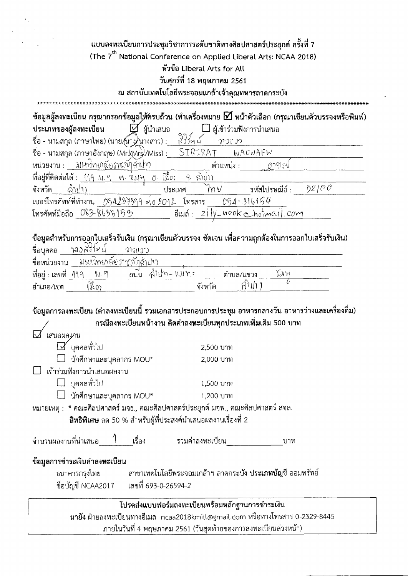แบบลงทะเบียนการประชุมวิชาการระดับชาติทางศิลปศาสตร์ประยุกต์ ครั้งที่ 7 (The 7<sup>th</sup> National Conference on Applied Liberal Arts: NCAA 2018) หัวข้อ Liberal Arts for All วันศุกร์ที่ 18 พฤษภาคม 2561 ณ สถาบันเทคโนโลยีพระจอมแกล้าเจ้าคุณทหารลาดกระบัง ข้อมูลผู้ลงทะเบียน กรุณากรอกข้อมูลให้ครบถ้วน (ทำเครื่องหมาย ⊠์ หน้าตัวเลือก (กรุณาเขียนตัวบรรจงหรือพิมพ์) ⊠้ ผู้นำเสนอ □ ผู้เข้าร่วมฟังการนำเสนอ ประเภทของผู้ลงทะเบียน  $337 - 5$ ชื่อ - นามสกุล (ภาษาไทย) (นาย/นาง)นางสาว) :\_\_  $-21.202$ ชื่อ - นามสกุล (ภาษาอังกฤษ) (Mr. $\chi$ Mrs $)$ /Miss) :  $\_$  $\sqrt{\text{SITRART}}$ WAOWAFW หน่วยงาน : มหางิทยาลัยราชภัๅล์กปา ตำแหน่ง : 079151

ที่อยู่ที่ติดต่อได้ : 119 ม.9 พ. โมเฯ ∂. ]\$่ั่ $c$ ) 9. ฉับงา รหัสไปรษณีย์ :  $52100$  $\mathbb{Q}(\mathcal{W})$ ไท∀ จังหวัด ประเทศ เบอร์โทรศัพท์ที่ทำงาน 054234399 ต่อ 2012 โทรสาร 054-316154 อีเมล์: 21/4-nook chotmail com โทรศัพท์มือถือ 083-8635153

### ี ข้อมูลสำหรับการออกใบเสร็จรับเงิน (กรุณาเขียนตัวบรรจง ชัดเจน เพื่อความถูกต้องในการออกใบเสร็จรับเงิน)

| ชื่อบคคล               | หองสัสหม                  | OM3O |                  |           |        |  |
|------------------------|---------------------------|------|------------------|-----------|--------|--|
| ชื่อหน่วยงาน           | งเนาวิทยาลัยราชภัตุล้าฝาว |      |                  |           |        |  |
| ที่อยู่ : เลขที่   119 | น. ๆ                      | ถนน  | ี : ทมท - พป์เค้ | ตำบล/แขวง | ir IGY |  |
| อำเภอ/เขต              | y<br>W                    |      | จังหวัด          | ิกาปา     |        |  |

#### ข้อมูลการลงทะเบียน (ค่าลงทะเบียนนี้ รวมเอกสารประกอบการประชุม อาหารกลางวัน อาหารว่างและเครื่องดื่ม) กรณีลงทะเบียนหน้างาน คิดค่าลง**ทะ**เบียนทุกประเภทเพิ่**ม**เติม 500 บาท  $\overline{\phantom{a}}$

| เสนอผลงาน                                                                          |                                                                |  |  |  |
|------------------------------------------------------------------------------------|----------------------------------------------------------------|--|--|--|
| M บุคคลทั่วไป                                                                      | 2,500 บาท                                                      |  |  |  |
| $\Box$ นักศึกษาและบุคลากร MOU*                                                     | 2,000 บาท                                                      |  |  |  |
| เข้าร่วมฟังการนำเสนอผลงาน                                                          |                                                                |  |  |  |
| $\square$ บุคคลทั่วไป                                                              | 1,500 บาท                                                      |  |  |  |
| $\Box$ นักศึกษาและบุคลากร MOU*                                                     | 1,200 บาท                                                      |  |  |  |
| หมายเหตุ : * คณะศิลปศาสตร์ มจธ., คณะศิลปศาสตร์ประยุกต์ มจพ., คณะศิลปศาสตร์ สจล.    |                                                                |  |  |  |
| ิ <b>สิทธิพิเศษ</b> ลด 50 % สำหรับผู้ที่ประสงค์นำเสนอผลงานเรื่องที่ 2              |                                                                |  |  |  |
| ี จำนวนผลงานที่นำเสนอ <sup>1</sup> เรื่อง รวมค่าลงทะเบียน                          | บาท                                                            |  |  |  |
| ์ ข้อมูลการชำระเงินค่าลง <b>หะ</b> เบียน                                           |                                                                |  |  |  |
| ธนาคารกรุงไทย   สาขาเทคโนโลยีพระจอมเกล้าฯ ลาดกระบัง ปร <b>ะเภทบัญ</b> ชี ออมทรัพย์ |                                                                |  |  |  |
| ชื่อบัญชี NCAA2017 เลขที่ 693-0-26594-2                                            |                                                                |  |  |  |
|                                                                                    | โปรดส่งแบบฟอร์มลงทะเบียนพร้อมหลักฐานการชำระเงิน                |  |  |  |
| มายัง ฝ่ายลงทะเบียนทางอีเมล ncaa2018kmitl@gmail.com หรือทางโทรสาร 0-2329-8445      |                                                                |  |  |  |
|                                                                                    | ้กายใบวันที่ 4 พฤษภาคม 2561 (วันสดท้ายของการลงทะเบียนล่วงหน้า) |  |  |  |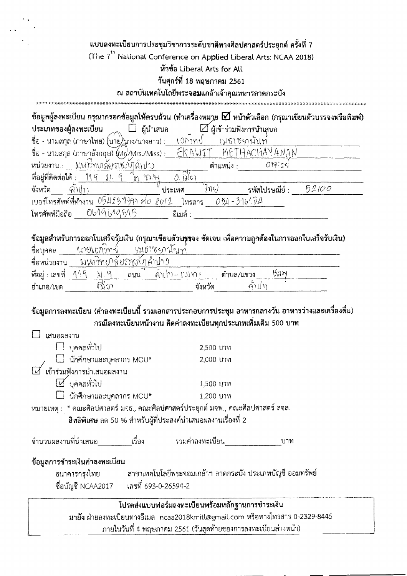| แบบลงทะเบียนการประชุมวิชาการระดับชาติทางศิลปศาสตร์ประยุกต์ ครั้งที่ 7<br>(The 7 <sup>th</sup> National Conference on Applied Liberal Arts: NCAA 2018) | หัวข้อ Liberal Arts for All<br>วันศุกร์ที่ 18 พฤษภาคม 2561<br>ณ สถาบันเทคโนโลยีพระจ <b>อม</b> แกล้าเจ้าคุณทหารลาดกระบัง |                                     |                |       |  |
|-------------------------------------------------------------------------------------------------------------------------------------------------------|-------------------------------------------------------------------------------------------------------------------------|-------------------------------------|----------------|-------|--|
| ข้อมูลผู้ลงทะเบียน กรุณากรอกข้อมูลให้ครบถ้วน (ทำเครื่องหมาย $\bm{\boxdot}$ หน้าตัวเลือก (กรุณาเขียนตัวบรรจงหรือพิมพ์)                                 |                                                                                                                         |                                     |                |       |  |
| ประเภทของผู้ลงทะเบียน<br>∟่⊔ ผู้นำเสนอ                                                                                                                |                                                                                                                         | $\boxtimes$ ผู้เข้าร่วมฟังการนำเสนอ |                |       |  |
| ชื้อ - นามสกุส (ภาษาไทย) (นาย) นาง/นางสาว) :                                                                                                          | wrnd                                                                                                                    | เปอาชุยนับท                         |                |       |  |
| ชื่อ - นามสกุล (ภาษาอังกฤษ) (Mr//Mrs./Miss) :                                                                                                         |                                                                                                                         | MF                                  |                |       |  |
| หน่วยงาน.:<br>มหาว์พบลัยราชภัฎลำปาว                                                                                                                   |                                                                                                                         | ตำแหน่ง :                           | 019155         |       |  |
| ที่อยู่ที่ติดต่อได้ :<br>ୀ\ ଦ<br>91.9<br>m. BM                                                                                                        | $0.$ $(i)$ o                                                                                                            |                                     |                |       |  |
| จังหวัด<br>จงปา                                                                                                                                       | ประเทศ                                                                                                                  | 7n4)                                | รหัสไปรษณีย์ : | 52100 |  |

เบอร์โทรศัพท์ที่ทำงาน 054234399 ที่0 2012 โทรสาร 054 - 31b154

# ข้อมูลสำหรับการออกใบเสร็จรับเงิน (กรุณาเขียนตัวบ**รร**จง ชัดเจน เพื่อความถูกต้องในการออกใบเสร็จรับเงิน)

| ชื่อบคคล         | นายเขกาท⊀โ |                            | เม6างยานั่วเท                                                                                                   |            |                              |  |
|------------------|------------|----------------------------|-----------------------------------------------------------------------------------------------------------------|------------|------------------------------|--|
| ชื่อหน่วยงาน     |            | มwwmvลัยภหลับสัญ <i>กา</i> |                                                                                                                 |            |                              |  |
| ที่อยู่ : เลขที่ |            | ถนน                        | $\mathcal{A}$ $\mathcal{M}$ $\mathcal{M}$ $\mathcal{M}$ $\mathcal{M}$ $\mathcal{M}$ $\mathcal{M}$ $\mathcal{M}$ | ้ตำบล/แขวง | $\mathfrak{h}(\mathfrak{g})$ |  |
| อำเภอ/เขต        | 71 O J     |                            | จังหวัด                                                                                                         | ิคาµท      |                              |  |

## ข้อมูลการลงทะเบียน (ค่าลงทะเบียนนี้ รวมเอกสารประกอบการประชุม อาหารกลางวัน อาหารว่างและเครื่องดื่ม) ิกรณีลงทะเบียนหน้างาน คิดค่าลงทะเบียนทุกประเภทเพิ่มเติม 500 บาท

| เสนอผลงาน                                                                                                                              |             |  |  |
|----------------------------------------------------------------------------------------------------------------------------------------|-------------|--|--|
| บุคคลทั่วไป                                                                                                                            | 2,500 บาท   |  |  |
| .               นักศึกษาและบุคลากร MOU*<br>เข้าร่วมฟังการนำเสนอผลงาน                                                                   | 2,000 บาท   |  |  |
|                                                                                                                                        |             |  |  |
| <b>∐ั</b> บุคคลทั่วไป                                                                                                                  | 1,500 นาท   |  |  |
| $\Box$ นักศึกษาและบุคลากร MOU*                                                                                                         | $1,200$ บาท |  |  |
| หมายเหตุ : * คณะศิลปศาสตร์ มจธ., คณะศิล <mark>ปศาส</mark> ตร์ประยุกต์ มจพ., คณะศิลปศาสตร์ สจล.                                         |             |  |  |
| สิทธิพิเศษ ลด 50 % สำหรับผู้ที่ประสงค์นำเสนอผลงานเรื่องที่ 2                                                                           |             |  |  |
| จำนวนผลงานที่นำเสนอ เรื่อง รวมค่าลงทะเบียน                                                                                             | บาท         |  |  |
| ข้อมูลการชำระเงินค่าลงทะเบียน                                                                                                          |             |  |  |
| ธนาคารกรุงไทย               สาขาเทคโนโลยีพระจอมเกล้าฯ ลาดกระบัง ประเภทบัญชี ออมทรัพย์<br>ชื่อบัญชี NCAA2017       เลขที่ 693-0-26594-2 |             |  |  |
|                                                                                                                                        |             |  |  |
| โปรดส่งแบบฟอร์มลงทะเบียนพร้อมหลักฐานการชำระเงิน                                                                                        |             |  |  |
| มายัง ฝ่ายลงทะเบียนทางอีเมล ncaa2018kmitl@gmail.com หรือทางโทรสาร 0-2329-8445                                                          |             |  |  |
| ภายในวันที่ 4 พฤษภาคม 2561 (วันสุดท้ายของการลงทะเบียนล่วงหน้า)                                                                         |             |  |  |